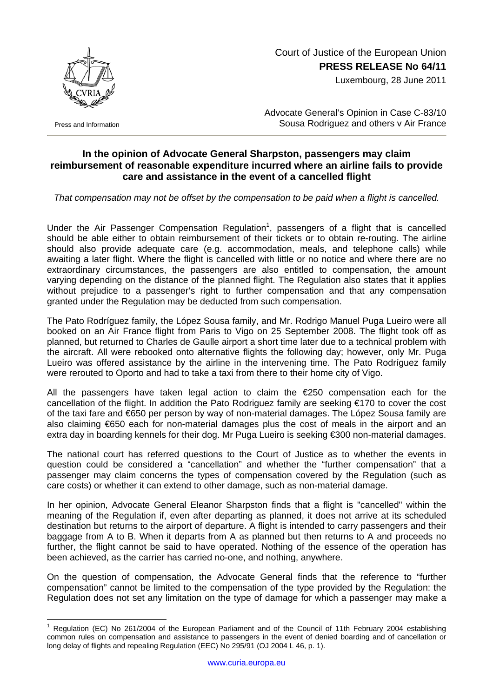

Press and Information

## Court of Justice of the European Union **PRESS RELEASE No 64/11**

Luxembourg, 28 June 2011

Advocate General's Opinion in Case C-83/10 Sousa Rodriguez and others v Air France

## **In the opinion of Advocate General Sharpston, passengers may claim reimbursement of reasonable expenditure incurred where an airline fails to provide care and assistance in the event of a cancelled flight**

*That compensation may not be offset by the compensation to be paid when a flight is cancelled.*

Under the Air Passenger Compensation Regulation<sup>[1](#page-0-0)</sup>, passengers of a flight that is cancelled should be able either to obtain reimbursement of their tickets or to obtain re-routing. The airline should also provide adequate care (e.g. accommodation, meals, and telephone calls) while awaiting a later flight. Where the flight is cancelled with little or no notice and where there are no extraordinary circumstances, the passengers are also entitled to compensation, the amount varying depending on the distance of the planned flight. The Regulation also states that it applies without prejudice to a passenger's right to further compensation and that any compensation granted under the Regulation may be deducted from such compensation.

The Pato Rodríguez family, the López Sousa family, and Mr. Rodrigo Manuel Puga Lueiro were all booked on an Air France flight from Paris to Vigo on 25 September 2008. The flight took off as planned, but returned to Charles de Gaulle airport a short time later due to a technical problem with the aircraft. All were rebooked onto alternative flights the following day; however, only Mr. Puga Lueiro was offered assistance by the airline in the intervening time. The Pato Rodríguez family were rerouted to Oporto and had to take a taxi from there to their home city of Vigo.

All the passengers have taken legal action to claim the  $E$ 250 compensation each for the cancellation of the flight. In addition the Pato Rodriguez family are seeking €170 to cover the cost of the taxi fare and €650 per person by way of non-material damages. The López Sousa family are also claiming €650 each for non-material damages plus the cost of meals in the airport and an extra day in boarding kennels for their dog. Mr Puga Lueiro is seeking €300 non-material damages.

The national court has referred questions to the Court of Justice as to whether the events in question could be considered a "cancellation" and whether the "further compensation" that a passenger may claim concerns the types of compensation covered by the Regulation (such as care costs) or whether it can extend to other damage, such as non-material damage.

In her opinion, Advocate General Eleanor Sharpston finds that a flight is "cancelled" within the meaning of the Regulation if, even after departing as planned, it does not arrive at its scheduled destination but returns to the airport of departure. A flight is intended to carry passengers and their baggage from A to B. When it departs from A as planned but then returns to A and proceeds no further, the flight cannot be said to have operated. Nothing of the essence of the operation has been achieved, as the carrier has carried no-one, and nothing, anywhere.

On the question of compensation, the Advocate General finds that the reference to "further compensation" cannot be limited to the compensation of the type provided by the Regulation: the Regulation does not set any limitation on the type of damage for which a passenger may make a

<span id="page-0-0"></span> $\overline{a}$ 1 Regulation (EC) No 261/2004 of the European Parliament and of the Council of 11th February 2004 establishing common rules on compensation and assistance to passengers in the event of denied boarding and of cancellation or long delay of flights and repealing Regulation (EEC) No 295/91 (OJ 2004 L 46, p. 1).